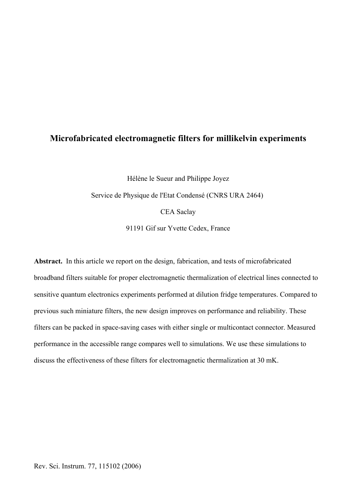# **Microfabricated electromagnetic filters for millikelvin experiments**

Hélène le Sueur and Philippe Joyez Service de Physique de l'Etat Condensé (CNRS URA 2464) CEA Saclay 91191 Gif sur Yvette Cedex, France

**Abstract.** In this article we report on the design, fabrication, and tests of microfabricated broadband filters suitable for proper electromagnetic thermalization of electrical lines connected to sensitive quantum electronics experiments performed at dilution fridge temperatures. Compared to previous such miniature filters, the new design improves on performance and reliability. These filters can be packed in space-saving cases with either single or multicontact connector. Measured performance in the accessible range compares well to simulations. We use these simulations to discuss the effectiveness of these filters for electromagnetic thermalization at 30 mK.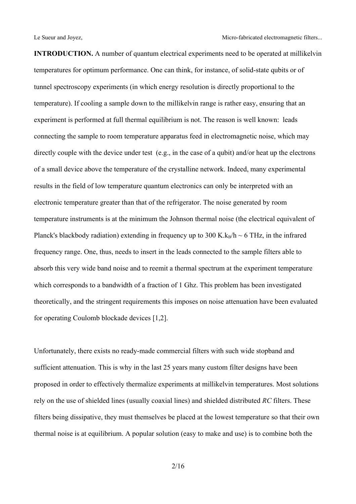**INTRODUCTION.** A number of quantum electrical experiments need to be operated at millikelvin temperatures for optimum performance. One can think, for instance, of solid-state qubits or of tunnel spectroscopy experiments (in which energy resolution is directly proportional to the temperature). If cooling a sample down to the millikelvin range is rather easy, ensuring that an experiment is performed at full thermal equilibrium is not. The reason is well known: leads connecting the sample to room temperature apparatus feed in electromagnetic noise, which may directly couple with the device under test (e.g., in the case of a qubit) and/or heat up the electrons of a small device above the temperature of the crystalline network. Indeed, many experimental results in the field of low temperature quantum electronics can only be interpreted with an electronic temperature greater than that of the refrigerator. The noise generated by room temperature instruments is at the minimum the Johnson thermal noise (the electrical equivalent of Planck's blackbody radiation) extending in frequency up to 300 K.k<sub>B</sub>/h  $\sim$  6 THz, in the infrared frequency range. One, thus, needs to insert in the leads connected to the sample filters able to absorb this very wide band noise and to reemit a thermal spectrum at the experiment temperature which corresponds to a bandwidth of a fraction of 1 Ghz. This problem has been investigated theoretically, and the stringent requirements this imposes on noise attenuation have been evaluated for operating Coulomb blockade devices [1,2].

Unfortunately, there exists no ready-made commercial filters with such wide stopband and sufficient attenuation. This is why in the last 25 years many custom filter designs have been proposed in order to effectively thermalize experiments at millikelvin temperatures. Most solutions rely on the use of shielded lines (usually coaxial lines) and shielded distributed *RC* filters. These filters being dissipative, they must themselves be placed at the lowest temperature so that their own thermal noise is at equilibrium. A popular solution (easy to make and use) is to combine both the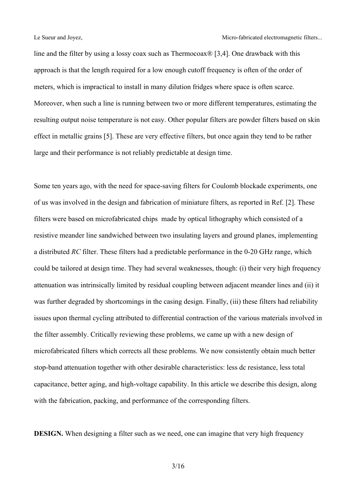line and the filter by using a lossy coax such as Thermocoax $\mathcal{R}$  [3,4]. One drawback with this approach is that the length required for a low enough cutoff frequency is often of the order of meters, which is impractical to install in many dilution fridges where space is often scarce. Moreover, when such a line is running between two or more different temperatures, estimating the resulting output noise temperature is not easy. Other popular filters are powder filters based on skin effect in metallic grains [5]. These are very effective filters, but once again they tend to be rather large and their performance is not reliably predictable at design time.

Some ten years ago, with the need for space-saving filters for Coulomb blockade experiments, one of us was involved in the design and fabrication of miniature filters, as reported in Ref. [2]. These filters were based on microfabricated chips made by optical lithography which consisted of a resistive meander line sandwiched between two insulating layers and ground planes, implementing a distributed *RC* filter. These filters had a predictable performance in the 0-20 GHz range, which could be tailored at design time. They had several weaknesses, though: (i) their very high frequency attenuation was intrinsically limited by residual coupling between adjacent meander lines and (ii) it was further degraded by shortcomings in the casing design. Finally, (iii) these filters had reliability issues upon thermal cycling attributed to differential contraction of the various materials involved in the filter assembly. Critically reviewing these problems, we came up with a new design of microfabricated filters which corrects all these problems. We now consistently obtain much better stop-band attenuation together with other desirable characteristics: less dc resistance, less total capacitance, better aging, and high-voltage capability. In this article we describe this design, along with the fabrication, packing, and performance of the corresponding filters.

**DESIGN.** When designing a filter such as we need, one can imagine that very high frequency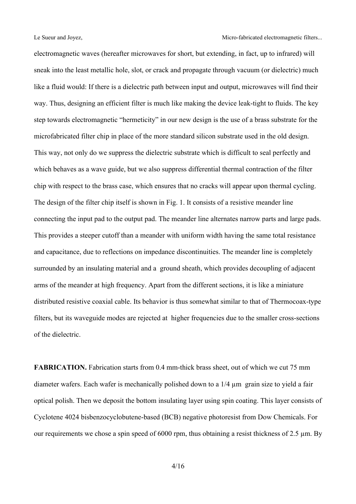electromagnetic waves (hereafter microwaves for short, but extending, in fact, up to infrared) will sneak into the least metallic hole, slot, or crack and propagate through vacuum (or dielectric) much like a fluid would: If there is a dielectric path between input and output, microwaves will find their way. Thus, designing an efficient filter is much like making the device leak-tight to fluids. The key step towards electromagnetic "hermeticity" in our new design is the use of a brass substrate for the microfabricated filter chip in place of the more standard silicon substrate used in the old design. This way, not only do we suppress the dielectric substrate which is difficult to seal perfectly and which behaves as a wave guide, but we also suppress differential thermal contraction of the filter chip with respect to the brass case, which ensures that no cracks will appear upon thermal cycling. The design of the filter chip itself is shown in Fig. 1. It consists of a resistive meander line connecting the input pad to the output pad. The meander line alternates narrow parts and large pads. This provides a steeper cutoff than a meander with uniform width having the same total resistance and capacitance, due to reflections on impedance discontinuities. The meander line is completely surrounded by an insulating material and a ground sheath, which provides decoupling of adjacent arms of the meander at high frequency. Apart from the different sections, it is like a miniature distributed resistive coaxial cable. Its behavior is thus somewhat similar to that of Thermocoax-type filters, but its waveguide modes are rejected at higher frequencies due to the smaller cross-sections of the dielectric.

**FABRICATION.** Fabrication starts from 0.4 mm-thick brass sheet, out of which we cut 75 mm diameter wafers. Each wafer is mechanically polished down to a 1/4 µm grain size to yield a fair optical polish. Then we deposit the bottom insulating layer using spin coating. This layer consists of Cyclotene 4024 bisbenzocyclobutene-based (BCB) negative photoresist from Dow Chemicals. For our requirements we chose a spin speed of 6000 rpm, thus obtaining a resist thickness of 2.5 µm. By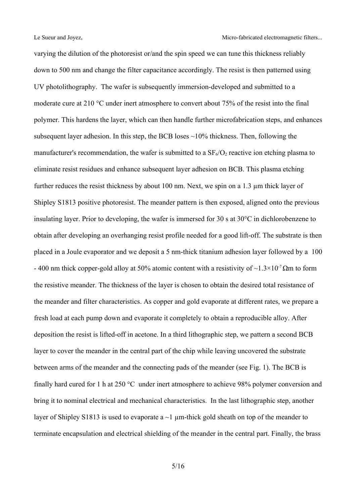varying the dilution of the photoresist or/and the spin speed we can tune this thickness reliably down to 500 nm and change the filter capacitance accordingly. The resist is then patterned using UV photolithography. The wafer is subsequently immersion-developed and submitted to a moderate cure at 210 °C under inert atmosphere to convert about 75% of the resist into the final polymer. This hardens the layer, which can then handle further microfabrication steps, and enhances subsequent layer adhesion. In this step, the BCB loses  $\sim$ 10% thickness. Then, following the manufacturer's recommendation, the wafer is submitted to a  $SF_6/O_2$  reactive ion etching plasma to eliminate resist residues and enhance subsequent layer adhesion on BCB. This plasma etching further reduces the resist thickness by about 100 nm. Next, we spin on a 1.3 µm thick layer of Shipley S1813 positive photoresist. The meander pattern is then exposed, aligned onto the previous insulating layer. Prior to developing, the wafer is immersed for 30 s at 30°C in dichlorobenzene to obtain after developing an overhanging resist profile needed for a good lift-off. The substrate is then placed in a Joule evaporator and we deposit a 5 nm-thick titanium adhesion layer followed by a 100 - 400 nm thick copper-gold alloy at 50% atomic content with a resistivity of  $\sim$ 1.3×10<sup>-7</sup> $\Omega$ m to form the resistive meander. The thickness of the layer is chosen to obtain the desired total resistance of the meander and filter characteristics. As copper and gold evaporate at different rates, we prepare a fresh load at each pump down and evaporate it completely to obtain a reproducible alloy. After deposition the resist is lifted-off in acetone. In a third lithographic step, we pattern a second BCB layer to cover the meander in the central part of the chip while leaving uncovered the substrate between arms of the meander and the connecting pads of the meander (see Fig. 1). The BCB is finally hard cured for 1 h at 250 °C under inert atmosphere to achieve 98% polymer conversion and bring it to nominal electrical and mechanical characteristics. In the last lithographic step, another layer of Shipley S1813 is used to evaporate a  $\sim$ 1 µm-thick gold sheath on top of the meander to terminate encapsulation and electrical shielding of the meander in the central part. Finally, the brass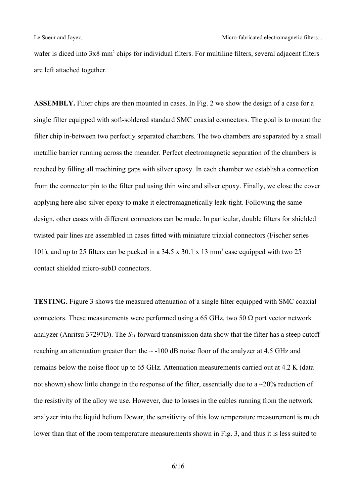wafer is diced into 3x8 mm<sup>2</sup> chips for individual filters. For multiline filters, several adjacent filters are left attached together.

**ASSEMBLY.** Filter chips are then mounted in cases. In Fig. 2 we show the design of a case for a single filter equipped with soft-soldered standard SMC coaxial connectors. The goal is to mount the filter chip in-between two perfectly separated chambers. The two chambers are separated by a small metallic barrier running across the meander. Perfect electromagnetic separation of the chambers is reached by filling all machining gaps with silver epoxy. In each chamber we establish a connection from the connector pin to the filter pad using thin wire and silver epoxy. Finally, we close the cover applying here also silver epoxy to make it electromagnetically leak-tight. Following the same design, other cases with different connectors can be made. In particular, double filters for shielded twisted pair lines are assembled in cases fitted with miniature triaxial connectors (Fischer series 101), and up to 25 filters can be packed in a 34.5 x 30.1 x 13 mm 3 case equipped with two 25 contact shielded micro-subD connectors.

**TESTING.** Figure 3 shows the measured attenuation of a single filter equipped with SMC coaxial connectors. These measurements were performed using a 65 GHz, two 50  $\Omega$  port vector network analyzer (Anritsu 37297D). The  $S_{21}$  forward transmission data show that the filter has a steep cutoff reaching an attenuation greater than the  $\sim$  -100 dB noise floor of the analyzer at 4.5 GHz and remains below the noise floor up to 65 GHz. Attenuation measurements carried out at 4.2 K (data not shown) show little change in the response of the filter, essentially due to a  $\sim$ 20% reduction of the resistivity of the alloy we use. However, due to losses in the cables running from the network analyzer into the liquid helium Dewar, the sensitivity of this low temperature measurement is much lower than that of the room temperature measurements shown in Fig. 3, and thus it is less suited to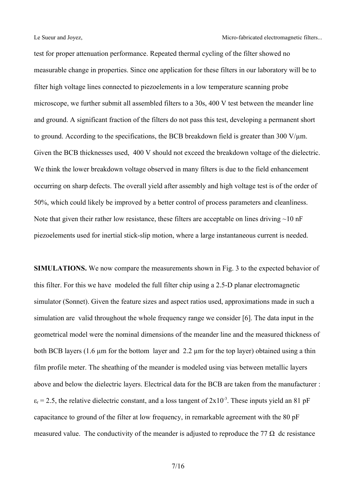test for proper attenuation performance. Repeated thermal cycling of the filter showed no measurable change in properties. Since one application for these filters in our laboratory will be to filter high voltage lines connected to piezoelements in a low temperature scanning probe microscope, we further submit all assembled filters to a 30s, 400 V test between the meander line and ground. A significant fraction of the filters do not pass this test, developing a permanent short to ground. According to the specifications, the BCB breakdown field is greater than 300 V/ $\mu$ m. Given the BCB thicknesses used, 400 V should not exceed the breakdown voltage of the dielectric. We think the lower breakdown voltage observed in many filters is due to the field enhancement occurring on sharp defects. The overall yield after assembly and high voltage test is of the order of 50%, which could likely be improved by a better control of process parameters and cleanliness. Note that given their rather low resistance, these filters are acceptable on lines driving  $\sim$ 10 nF piezoelements used for inertial stick-slip motion, where a large instantaneous current is needed.

**SIMULATIONS.** We now compare the measurements shown in Fig. 3 to the expected behavior of this filter. For this we have modeled the full filter chip using a 2.5-D planar electromagnetic simulator (Sonnet). Given the feature sizes and aspect ratios used, approximations made in such a simulation are valid throughout the whole frequency range we consider [6]. The data input in the geometrical model were the nominal dimensions of the meander line and the measured thickness of both BCB layers (1.6 µm for the bottom layer and 2.2 µm for the top layer) obtained using a thin film profile meter. The sheathing of the meander is modeled using vias between metallic layers above and below the dielectric layers. Electrical data for the BCB are taken from the manufacturer :  $\varepsilon_r$  = 2.5, the relative dielectric constant, and a loss tangent of 2x10<sup>-3</sup>. These inputs yield an 81 pF capacitance to ground of the filter at low frequency, in remarkable agreement with the 80 pF measured value. The conductivity of the meander is adjusted to reproduce the 77  $\Omega$  dc resistance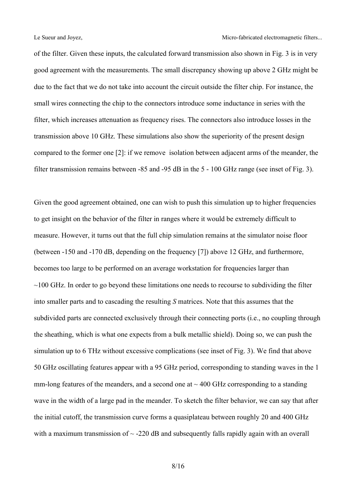of the filter. Given these inputs, the calculated forward transmission also shown in Fig. 3 is in very good agreement with the measurements. The small discrepancy showing up above 2 GHz might be due to the fact that we do not take into account the circuit outside the filter chip. For instance, the small wires connecting the chip to the connectors introduce some inductance in series with the filter, which increases attenuation as frequency rises. The connectors also introduce losses in the transmission above 10 GHz. These simulations also show the superiority of the present design compared to the former one [2]: if we remove isolation between adjacent arms of the meander, the filter transmission remains between -85 and -95 dB in the 5 - 100 GHz range (see inset of Fig. 3).

Given the good agreement obtained, one can wish to push this simulation up to higher frequencies to get insight on the behavior of the filter in ranges where it would be extremely difficult to measure. However, it turns out that the full chip simulation remains at the simulator noise floor (between -150 and -170 dB, depending on the frequency [7]) above 12 GHz, and furthermore, becomes too large to be performed on an average workstation for frequencies larger than  $\sim$ 100 GHz. In order to go beyond these limitations one needs to recourse to subdividing the filter into smaller parts and to cascading the resulting *S* matrices. Note that this assumes that the subdivided parts are connected exclusively through their connecting ports (i.e., no coupling through the sheathing, which is what one expects from a bulk metallic shield). Doing so, we can push the simulation up to 6 THz without excessive complications (see inset of Fig. 3). We find that above 50 GHz oscillating features appear with a 95 GHz period, corresponding to standing waves in the 1 mm-long features of the meanders, and a second one at  $\sim$  400 GHz corresponding to a standing wave in the width of a large pad in the meander. To sketch the filter behavior, we can say that after the initial cutoff, the transmission curve forms a quasiplateau between roughly 20 and 400 GHz with a maximum transmission of  $\sim$  -220 dB and subsequently falls rapidly again with an overall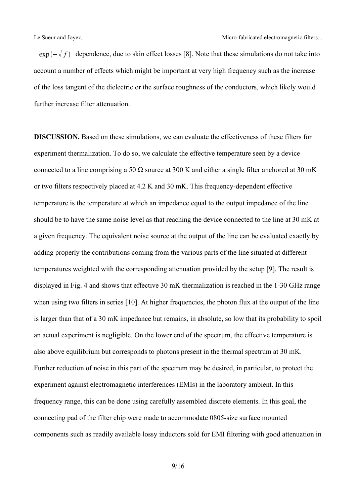$\exp(-\sqrt{f})$  dependence, due to skin effect losses [8]. Note that these simulations do not take into account a number of effects which might be important at very high frequency such as the increase of the loss tangent of the dielectric or the surface roughness of the conductors, which likely would further increase filter attenuation.

**DISCUSSION.** Based on these simulations, we can evaluate the effectiveness of these filters for experiment thermalization. To do so, we calculate the effective temperature seen by a device connected to a line comprising a 50  $\Omega$  source at 300 K and either a single filter anchored at 30 mK or two filters respectively placed at 4.2 K and 30 mK. This frequency-dependent effective temperature is the temperature at which an impedance equal to the output impedance of the line should be to have the same noise level as that reaching the device connected to the line at 30 mK at a given frequency. The equivalent noise source at the output of the line can be evaluated exactly by adding properly the contributions coming from the various parts of the line situated at different temperatures weighted with the corresponding attenuation provided by the setup [9]. The result is displayed in Fig. 4 and shows that effective 30 mK thermalization is reached in the 1-30 GHz range when using two filters in series [10]. At higher frequencies, the photon flux at the output of the line is larger than that of a 30 mK impedance but remains, in absolute, so low that its probability to spoil an actual experiment is negligible. On the lower end of the spectrum, the effective temperature is also above equilibrium but corresponds to photons present in the thermal spectrum at 30 mK. Further reduction of noise in this part of the spectrum may be desired, in particular, to protect the experiment against electromagnetic interferences (EMIs) in the laboratory ambient. In this frequency range, this can be done using carefully assembled discrete elements. In this goal, the connecting pad of the filter chip were made to accommodate 0805-size surface mounted components such as readily available lossy inductors sold for EMI filtering with good attenuation in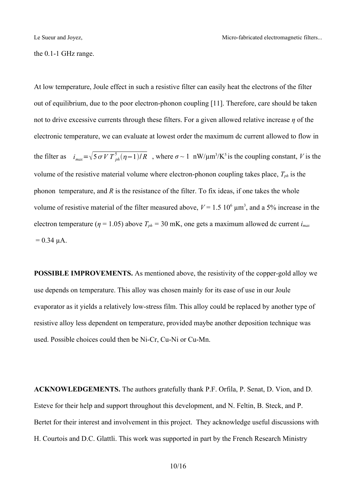the 0.1-1 GHz range.

At low temperature, Joule effect in such a resistive filter can easily heat the electrons of the filter out of equilibrium, due to the poor electron-phonon coupling [11]. Therefore, care should be taken not to drive excessive currents through these filters. For a given allowed relative increase *η* of the electronic temperature, we can evaluate at lowest order the maximum dc current allowed to flow in the filter as  $i_{max} = \sqrt{5 \sigma V T_{ph}^5 (\eta - 1)/R}$ , where  $\sigma \sim 1$  nW/ $\mu$ m<sup>3</sup>/K<sup>5</sup> is the coupling constant, *V* is the volume of the resistive material volume where electron-phonon coupling takes place, *Tph* is the phonon temperature, and *R* is the resistance of the filter. To fix ideas, if one takes the whole volume of resistive material of the filter measured above,  $V = 1.5 \times 10^6 \mu m^3$ , and a 5% increase in the electron temperature ( $\eta$  = 1.05) above  $T_{ph}$  = 30 mK, one gets a maximum allowed dc current  $i_{max}$  $= 0.34 \mu A$ .

**POSSIBLE IMPROVEMENTS.** As mentioned above, the resistivity of the copper-gold alloy we use depends on temperature. This alloy was chosen mainly for its ease of use in our Joule evaporator as it yields a relatively low-stress film. This alloy could be replaced by another type of resistive alloy less dependent on temperature, provided maybe another deposition technique was used. Possible choices could then be Ni-Cr, Cu-Ni or Cu-Mn.

**ACKNOWLEDGEMENTS.** The authors gratefully thank P.F. Orfila, P. Senat, D. Vion, and D. Esteve for their help and support throughout this development, and N. Feltin, B. Steck, and P. Bertet for their interest and involvement in this project. They acknowledge useful discussions with H. Courtois and D.C. Glattli. This work was supported in part by the French Research Ministry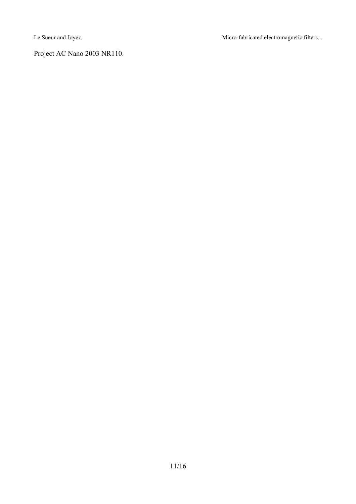Le Sueur and Joyez, Micro-fabricated electromagnetic filters...

Project AC Nano 2003 NR110.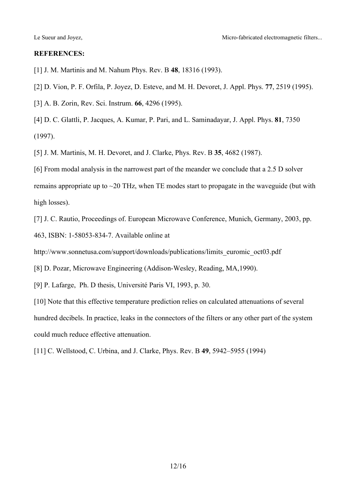#### **REFERENCES:**

[1] J. M. Martinis and M. Nahum Phys. Rev. B **48**, 18316 (1993).

[2] D. Vion, P. F. Orfila, P. Joyez, D. Esteve, and M. H. Devoret, J. Appl. Phys. **77**, 2519 (1995).

[3] A. B. Zorin, Rev. Sci. Instrum. **66**, 4296 (1995).

[4] D. C. Glattli, P. Jacques, A. Kumar, P. Pari, and L. Saminadayar, J. Appl. Phys. **81**, 7350 (1997).

[5] J. M. Martinis, M. H. Devoret, and J. Clarke, Phys. Rev. B **35**, 4682 (1987).

[6] From modal analysis in the narrowest part of the meander we conclude that a 2.5 D solver remains appropriate up to ~20 THz, when TE modes start to propagate in the waveguide (but with high losses).

[7] J. C. Rautio, Proceedings of. European Microwave Conference, Munich, Germany, 2003, pp. 463, ISBN: 1-58053-834-7. Available online at

http://www.sonnetusa.com/support/downloads/publications/limits\_euromic\_oct03.pdf

[8] D. Pozar, Microwave Engineering (Addison-Wesley, Reading, MA,1990).

[9] P. Lafarge, Ph. D thesis, Université Paris VI, 1993, p. 30.

[10] Note that this effective temperature prediction relies on calculated attenuations of several hundred decibels. In practice, leaks in the connectors of the filters or any other part of the system could much reduce effective attenuation.

[11] C. Wellstood, C. Urbina, and J. Clarke, Phys. Rev. B **49**, 5942–5955 (1994)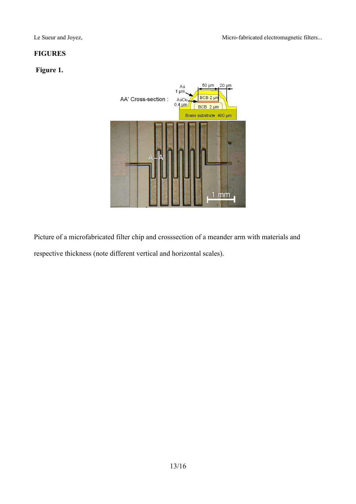## **FIGURES**

## **Figure 1.**



Picture of a microfabricated filter chip and crosssection of a meander arm with materials and respective thickness (note different vertical and horizontal scales).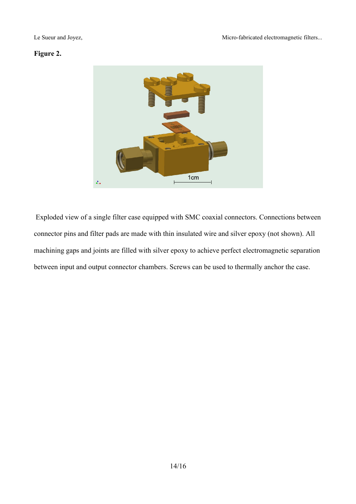### **Figure 2.**



 Exploded view of a single filter case equipped with SMC coaxial connectors. Connections between connector pins and filter pads are made with thin insulated wire and silver epoxy (not shown). All machining gaps and joints are filled with silver epoxy to achieve perfect electromagnetic separation between input and output connector chambers. Screws can be used to thermally anchor the case.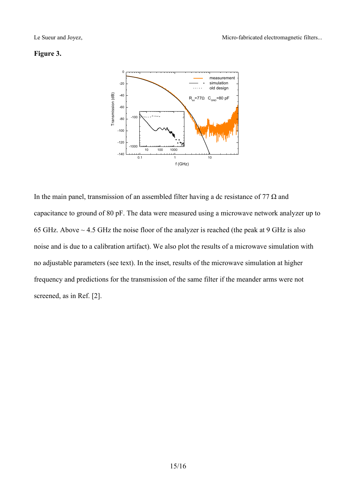#### **Figure 3.**



In the main panel, transmission of an assembled filter having a dc resistance of 77  $\Omega$  and capacitance to ground of 80 pF. The data were measured using a microwave network analyzer up to 65 GHz. Above ~ 4.5 GHz the noise floor of the analyzer is reached (the peak at 9 GHz is also noise and is due to a calibration artifact). We also plot the results of a microwave simulation with no adjustable parameters (see text). In the inset, results of the microwave simulation at higher frequency and predictions for the transmission of the same filter if the meander arms were not screened, as in Ref. [2].